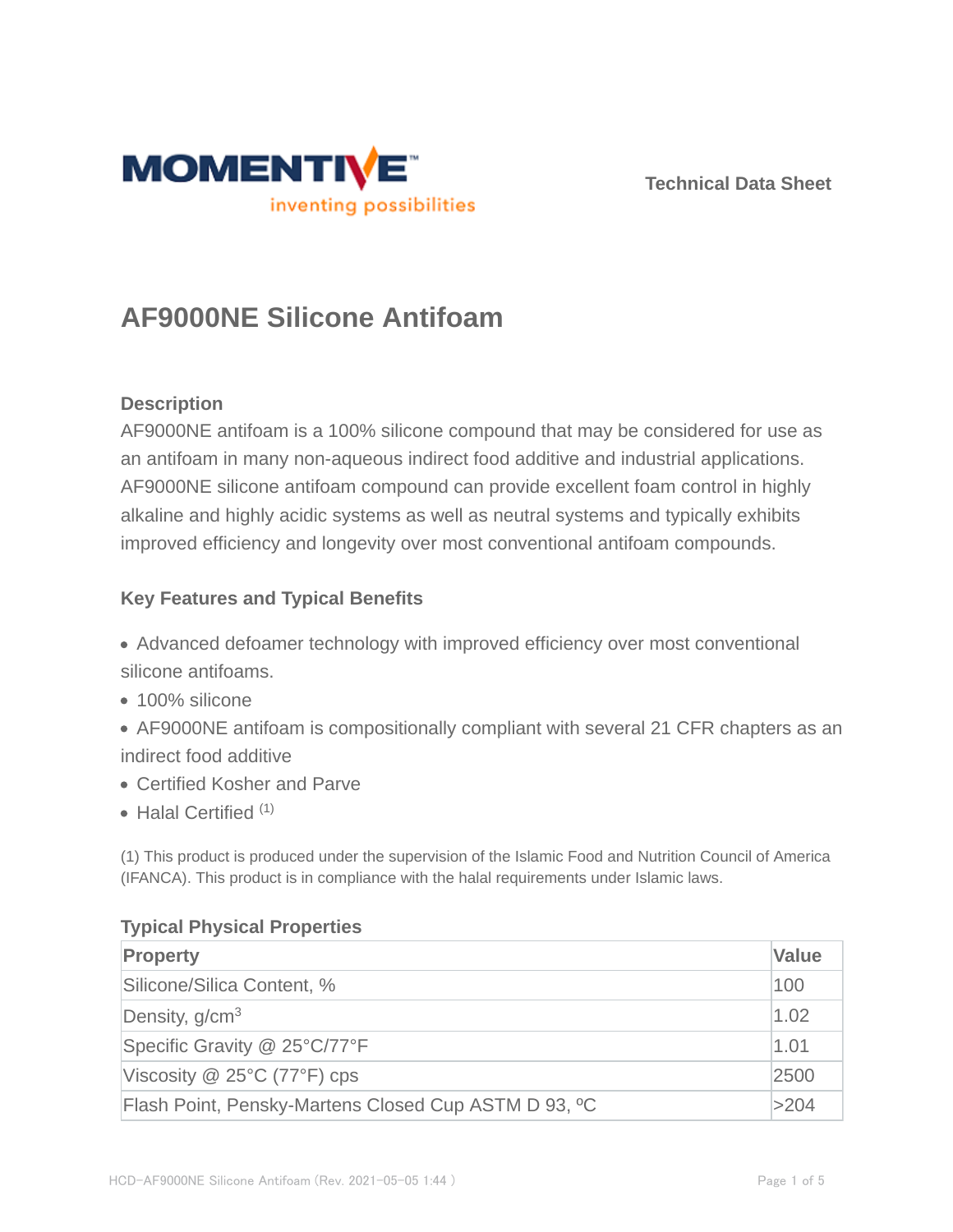

**Technical Data Sheet**

# **AF9000NE Silicone Antifoam**

## **Description**

AF9000NE antifoam is a 100% silicone compound that may be considered for use as an antifoam in many non-aqueous indirect food additive and industrial applications. AF9000NE silicone antifoam compound can provide excellent foam control in highly alkaline and highly acidic systems as well as neutral systems and typically exhibits improved efficiency and longevity over most conventional antifoam compounds.

## **Key Features and Typical Benefits**

- Advanced defoamer technology with improved efficiency over most conventional silicone antifoams.
- 100% silicone
- AF9000NE antifoam is compositionally compliant with several 21 CFR chapters as an indirect food additive
- Certified Kosher and Parve
- $\bullet$  Halal Certified  $(1)$

(1) This product is produced under the supervision of the Islamic Food and Nutrition Council of America (IFANCA). This product is in compliance with the halal requirements under Islamic laws.

## **Typical Physical Properties**

| <b>Property</b>                                      | <b>Value</b> |
|------------------------------------------------------|--------------|
| Silicone/Silica Content, %                           | 100          |
| Density, g/cm <sup>3</sup>                           | 1.02         |
| Specific Gravity @ 25°C/77°F                         | 1.01         |
| Viscosity $@$ 25°C (77°F) cps                        | 2500         |
| Flash Point, Pensky-Martens Closed Cup ASTM D 93, °C | >204         |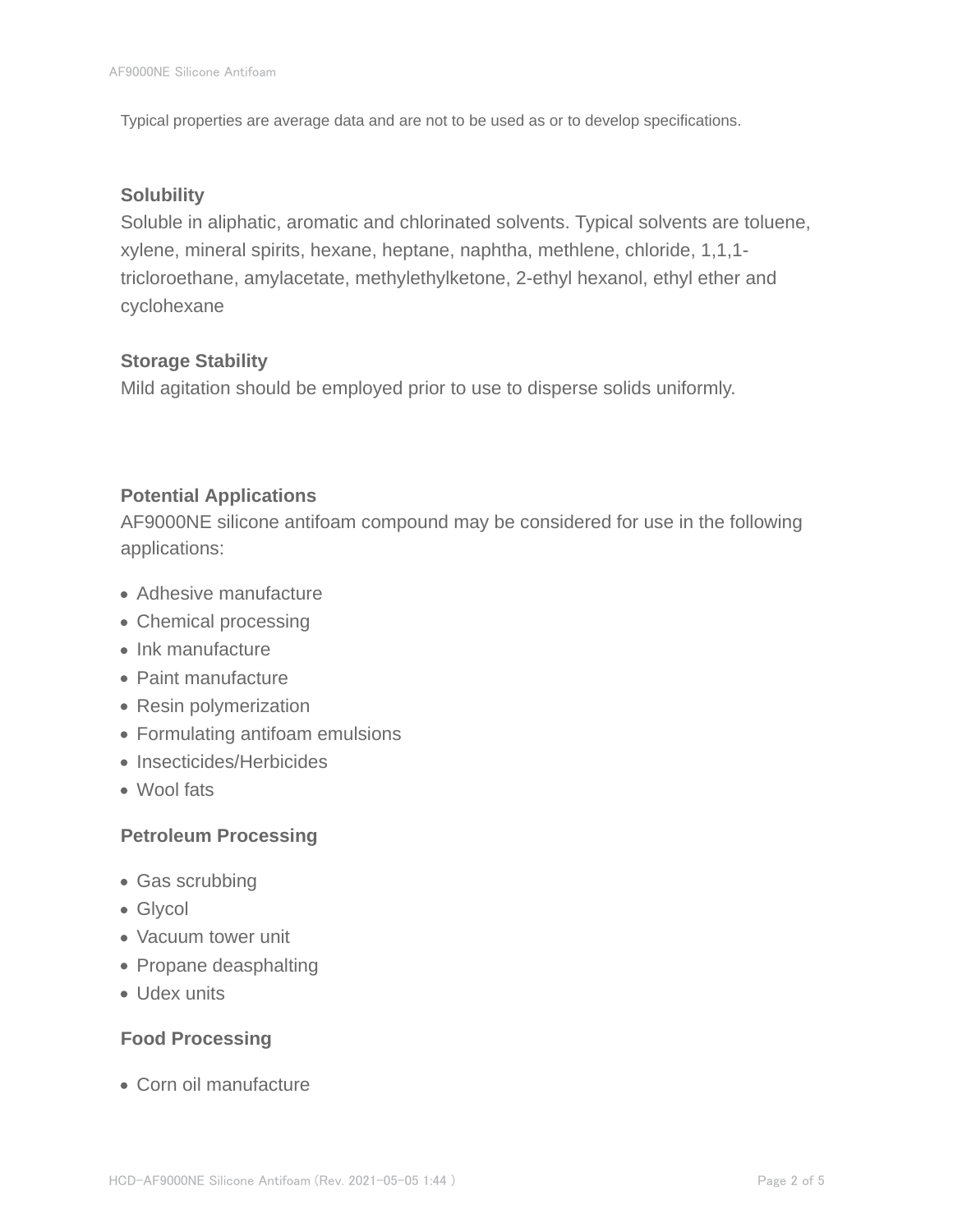Typical properties are average data and are not to be used as or to develop specifications.

#### **Solubility**

Soluble in aliphatic, aromatic and chlorinated solvents. Typical solvents are toluene, xylene, mineral spirits, hexane, heptane, naphtha, methlene, chloride, 1,1,1 tricloroethane, amylacetate, methylethylketone, 2-ethyl hexanol, ethyl ether and cyclohexane

#### **Storage Stability**

Mild agitation should be employed prior to use to disperse solids uniformly.

## **Potential Applications**

AF9000NE silicone antifoam compound may be considered for use in the following applications:

- Adhesive manufacture
- Chemical processing
- Ink manufacture
- Paint manufacture
- Resin polymerization
- Formulating antifoam emulsions
- Insecticides/Herbicides
- Wool fats

## **Petroleum Processing**

- Gas scrubbing
- Glycol
- Vacuum tower unit
- Propane deasphalting
- Udex units

## **Food Processing**

Corn oil manufacture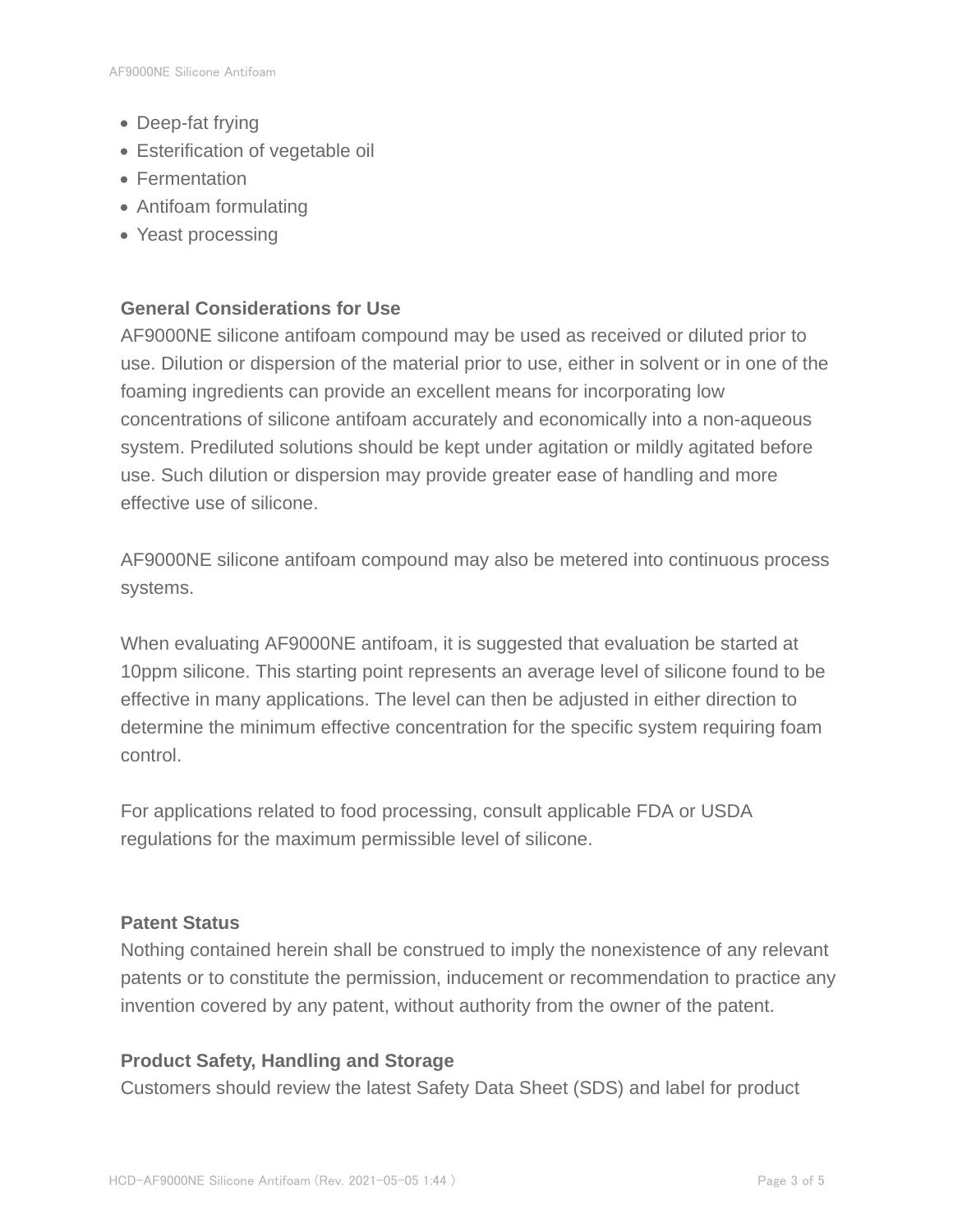- Deep-fat frying
- Esterification of vegetable oil
- Fermentation
- Antifoam formulating
- Yeast processing

### **General Considerations for Use**

AF9000NE silicone antifoam compound may be used as received or diluted prior to use. Dilution or dispersion of the material prior to use, either in solvent or in one of the foaming ingredients can provide an excellent means for incorporating low concentrations of silicone antifoam accurately and economically into a non-aqueous system. Prediluted solutions should be kept under agitation or mildly agitated before use. Such dilution or dispersion may provide greater ease of handling and more effective use of silicone.

AF9000NE silicone antifoam compound may also be metered into continuous process systems.

When evaluating AF9000NE antifoam, it is suggested that evaluation be started at 10ppm silicone. This starting point represents an average level of silicone found to be effective in many applications. The level can then be adjusted in either direction to determine the minimum effective concentration for the specific system requiring foam control.

For applications related to food processing, consult applicable FDA or USDA regulations for the maximum permissible level of silicone.

#### **Patent Status**

Nothing contained herein shall be construed to imply the nonexistence of any relevant patents or to constitute the permission, inducement or recommendation to practice any invention covered by any patent, without authority from the owner of the patent.

#### **Product Safety, Handling and Storage**

Customers should review the latest Safety Data Sheet (SDS) and label for product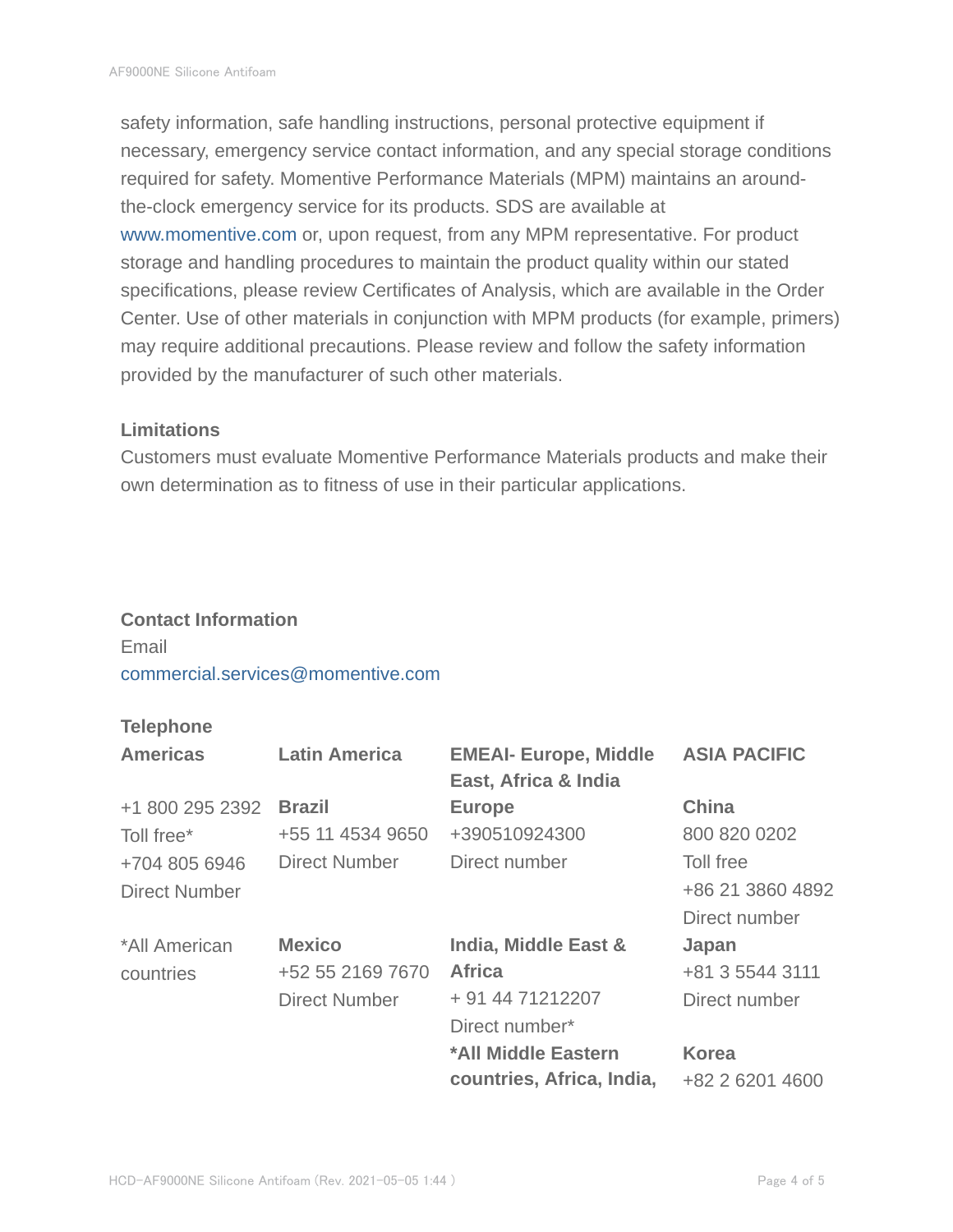safety information, safe handling instructions, personal protective equipment if necessary, emergency service contact information, and any special storage conditions required for safety. Momentive Performance Materials (MPM) maintains an aroundthe-clock emergency service for its products. SDS are available at www.momentive.com or, upon request, from any MPM representative. For product storage and handling procedures to maintain the product quality within our stated specifications, please review Certificates of Analysis, which are available in the Order Center. Use of other materials in conjunction with MPM products (for example, primers) may require additional precautions. Please review and follow the safety information provided by the manufacturer of such other materials.

#### **Limitations**

Customers must evaluate Momentive Performance Materials products and make their own determination as to fitness of use in their particular applications.

## **Contact Information** Email commercial.services@momentive.com

#### **Telephone**

| <b>Americas</b> | <b>Latin America</b> | <b>EMEAI- Europe, Middle</b><br>East, Africa & India | <b>ASIA PACIFIC</b> |
|-----------------|----------------------|------------------------------------------------------|---------------------|
| +1 800 295 2392 | <b>Brazil</b>        | <b>Europe</b>                                        | <b>China</b>        |
| Toll free*      | +55 11 4534 9650     | +390510924300                                        | 800 820 0202        |
| +704 805 6946   | <b>Direct Number</b> | Direct number                                        | Toll free           |
| Direct Number   |                      |                                                      | +86 21 3860 4892    |
|                 |                      |                                                      | Direct number       |
| *All American   | <b>Mexico</b>        | India, Middle East &                                 | Japan               |
| countries       | +52 55 2169 7670     | <b>Africa</b>                                        | +81 3 5544 3111     |
|                 | <b>Direct Number</b> | + 91 44 71212207                                     | Direct number       |
|                 |                      | Direct number*                                       |                     |
|                 |                      | *All Middle Eastern                                  | <b>Korea</b>        |
|                 |                      | countries, Africa, India,                            | +82 2 6201 4600     |